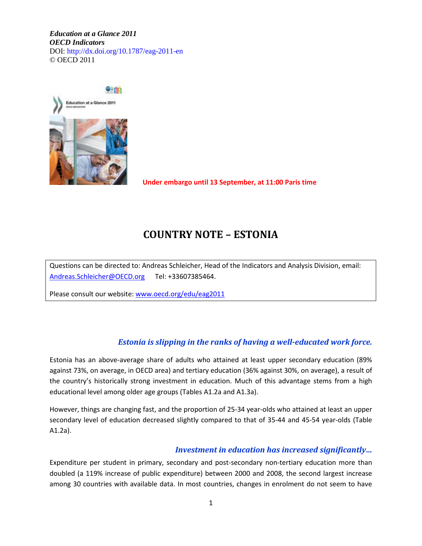*Education at a Glance 2011 OECD Indicators*  DOI: http://dx.doi.org/10.1787/eag-2011-en © OECD 2011



 **Under embargo until 13 September, at 11:00 Paris time**

# **COUNTRY NOTE – ESTONIA**

Questions can be directed to: Andreas Schleicher, Head of the Indicators and Analysis Division, email: [Andreas.Schleicher@OECD.org](mailto:Andreas.Schleicher@OECD.org) Tel: +33607385464.

Please consult our website[: www.oecd.org/edu/eag2011](http://www.oecd.org/edu/eag2011)

### *Estonia is slipping in the ranks of having a well-educated work force.*

Estonia has an above-average share of adults who attained at least upper secondary education (89% against 73%, on average, in OECD area) and tertiary education (36% against 30%, on average), a result of the country's historically strong investment in education. Much of this advantage stems from a high educational level among older age groups (Tables A1.2a and A1.3a).

However, things are changing fast, and the proportion of 25-34 year-olds who attained at least an upper secondary level of education decreased slightly compared to that of 35-44 and 45-54 year-olds (Table A1.2a).

#### *Investment in education has increased significantly…*

Expenditure per student in primary, secondary and post-secondary non-tertiary education more than doubled (a 119% increase of public expenditure) between 2000 and 2008, the second largest increase among 30 countries with available data. In most countries, changes in enrolment do not seem to have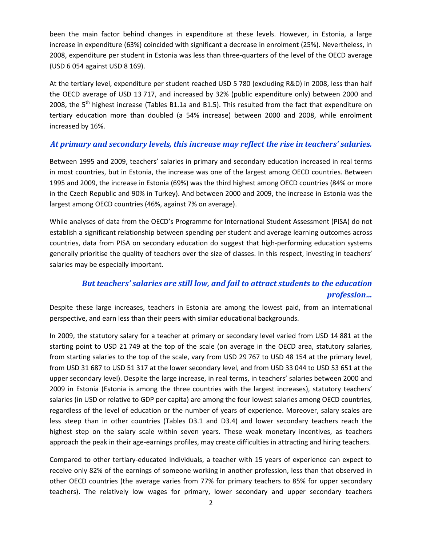been the main factor behind changes in expenditure at these levels. However, in Estonia, a large increase in expenditure (63%) coincided with significant a decrease in enrolment (25%). Nevertheless, in 2008, expenditure per student in Estonia was less than three-quarters of the level of the OECD average (USD 6 054 against USD 8 169).

At the tertiary level, expenditure per student reached USD 5 780 (excluding R&D) in 2008, less than half the OECD average of USD 13 717, and increased by 32% (public expenditure only) between 2000 and 2008, the  $5<sup>th</sup>$  highest increase (Tables B1.1a and B1.5). This resulted from the fact that expenditure on tertiary education more than doubled (a 54% increase) between 2000 and 2008, while enrolment increased by 16%.

#### *At primary and secondary levels, this increase may reflect the rise in teachers' salaries.*

Between 1995 and 2009, teachers' salaries in primary and secondary education increased in real terms in most countries, but in Estonia, the increase was one of the largest among OECD countries. Between 1995 and 2009, the increase in Estonia (69%) was the third highest among OECD countries (84% or more in the Czech Republic and 90% in Turkey). And between 2000 and 2009, the increase in Estonia was the largest among OECD countries (46%, against 7% on average).

While analyses of data from the OECD's Programme for International Student Assessment (PISA) do not establish a significant relationship between spending per student and average learning outcomes across countries, data from PISA on secondary education do suggest that high-performing education systems generally prioritise the quality of teachers over the size of classes. In this respect, investing in teachers' salaries may be especially important.

## *But teachers' salaries are still low, and fail to attract students to the education profession…*

Despite these large increases, teachers in Estonia are among the lowest paid, from an international perspective, and earn less than their peers with similar educational backgrounds.

In 2009, the statutory salary for a teacher at primary or secondary level varied from USD 14 881 at the starting point to USD 21 749 at the top of the scale (on average in the OECD area, statutory salaries, from starting salaries to the top of the scale, vary from USD 29 767 to USD 48 154 at the primary level, from USD 31 687 to USD 51 317 at the lower secondary level, and from USD 33 044 to USD 53 651 at the upper secondary level). Despite the large increase, in real terms, in teachers' salaries between 2000 and 2009 in Estonia (Estonia is among the three countries with the largest increases), statutory teachers' salaries (in USD or relative to GDP per capita) are among the four lowest salaries among OECD countries, regardless of the level of education or the number of years of experience. Moreover, salary scales are less steep than in other countries (Tables D3.1 and D3.4) and lower secondary teachers reach the highest step on the salary scale within seven years. These weak monetary incentives, as teachers approach the peak in their age-earnings profiles, may create difficulties in attracting and hiring teachers.

Compared to other tertiary-educated individuals, a teacher with 15 years of experience can expect to receive only 82% of the earnings of someone working in another profession, less than that observed in other OECD countries (the average varies from 77% for primary teachers to 85% for upper secondary teachers). The relatively low wages for primary, lower secondary and upper secondary teachers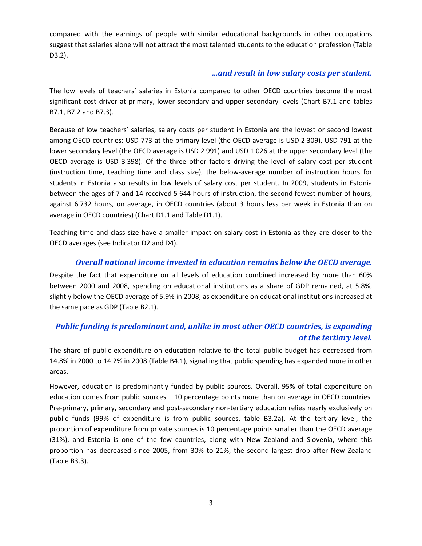compared with the earnings of people with similar educational backgrounds in other occupations suggest that salaries alone will not attract the most talented students to the education profession (Table D3.2).

### *…and result in low salary costs per student.*

The low levels of teachers' salaries in Estonia compared to other OECD countries become the most significant cost driver at primary, lower secondary and upper secondary levels (Chart B7.1 and tables B7.1, B7.2 and B7.3).

Because of low teachers' salaries, salary costs per student in Estonia are the lowest or second lowest among OECD countries: USD 773 at the primary level (the OECD average is USD 2 309), USD 791 at the lower secondary level (the OECD average is USD 2 991) and USD 1 026 at the upper secondary level (the OECD average is USD 3 398). Of the three other factors driving the level of salary cost per student (instruction time, teaching time and class size), the below-average number of instruction hours for students in Estonia also results in low levels of salary cost per student. In 2009, students in Estonia between the ages of 7 and 14 received 5 644 hours of instruction, the second fewest number of hours, against 6 732 hours, on average, in OECD countries (about 3 hours less per week in Estonia than on average in OECD countries) (Chart D1.1 and Table D1.1).

Teaching time and class size have a smaller impact on salary cost in Estonia as they are closer to the OECD averages (see Indicator D2 and D4).

### *Overall national income invested in education remains below the OECD average.*

Despite the fact that expenditure on all levels of education combined increased by more than 60% between 2000 and 2008, spending on educational institutions as a share of GDP remained, at 5.8%, slightly below the OECD average of 5.9% in 2008, as expenditure on educational institutions increased at the same pace as GDP (Table B2.1).

## *Public funding is predominant and, unlike in most other OECD countries, is expanding at the tertiary level.*

The share of public expenditure on education relative to the total public budget has decreased from 14.8% in 2000 to 14.2% in 2008 (Table B4.1), signalling that public spending has expanded more in other areas.

However, education is predominantly funded by public sources. Overall, 95% of total expenditure on education comes from public sources – 10 percentage points more than on average in OECD countries. Pre-primary, primary, secondary and post-secondary non-tertiary education relies nearly exclusively on public funds (99% of expenditure is from public sources, table B3.2a). At the tertiary level, the proportion of expenditure from private sources is 10 percentage points smaller than the OECD average (31%), and Estonia is one of the few countries, along with New Zealand and Slovenia, where this proportion has decreased since 2005, from 30% to 21%, the second largest drop after New Zealand (Table B3.3).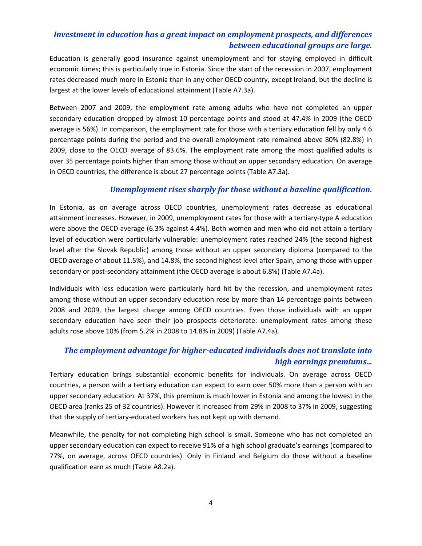# *Investment in education has a great impact on employment prospects, and differences between educational groups are large.*

Education is generally good insurance against unemployment and for staying employed in difficult economic times; this is particularly true in Estonia. Since the start of the recession in 2007, employment rates decreased much more in Estonia than in any other OECD country, except Ireland, but the decline is largest at the lower levels of educational attainment (Table A7.3a).

Between 2007 and 2009, the employment rate among adults who have not completed an upper secondary education dropped by almost 10 percentage points and stood at 47.4% in 2009 (the OECD average is 56%). In comparison, the employment rate for those with a tertiary education fell by only 4.6 percentage points during the period and the overall employment rate remained above 80% (82.8%) in 2009, close to the OECD average of 83.6%. The employment rate among the most qualified adults is over 35 percentage points higher than among those without an upper secondary education. On average in OECD countries, the difference is about 27 percentage points (Table A7.3a).

### *Unemployment rises sharply for those without a baseline qualification.*

In Estonia, as on average across OECD countries, unemployment rates decrease as educational attainment increases. However, in 2009, unemployment rates for those with a tertiary-type A education were above the OECD average (6.3% against 4.4%). Both women and men who did not attain a tertiary level of education were particularly vulnerable: unemployment rates reached 24% (the second highest level after the Slovak Republic) among those without an upper secondary diploma (compared to the OECD average of about 11.5%), and 14.8%, the second highest level after Spain, among those with upper secondary or post-secondary attainment (the OECD average is about 6.8%) (Table A7.4a).

Individuals with less education were particularly hard hit by the recession, and unemployment rates among those without an upper secondary education rose by more than 14 percentage points between 2008 and 2009, the largest change among OECD countries. Even those individuals with an upper secondary education have seen their job prospects deteriorate: unemployment rates among these adults rose above 10% (from 5.2% in 2008 to 14.8% in 2009) (Table A7.4a).

# *The employment advantage for higher-educated individuals does not translate into high earnings premiums...*

Tertiary education brings substantial economic benefits for individuals. On average across OECD countries, a person with a tertiary education can expect to earn over 50% more than a person with an upper secondary education. At 37%, this premium is much lower in Estonia and among the lowest in the OECD area (ranks 25 of 32 countries). However it increased from 29% in 2008 to 37% in 2009, suggesting that the supply of tertiary-educated workers has not kept up with demand.

Meanwhile, the penalty for not completing high school is small. Someone who has not completed an upper secondary education can expect to receive 91% of a high school graduate's earnings (compared to 77%, on average, across OECD countries). Only in Finland and Belgium do those without a baseline qualification earn as much (Table A8.2a).